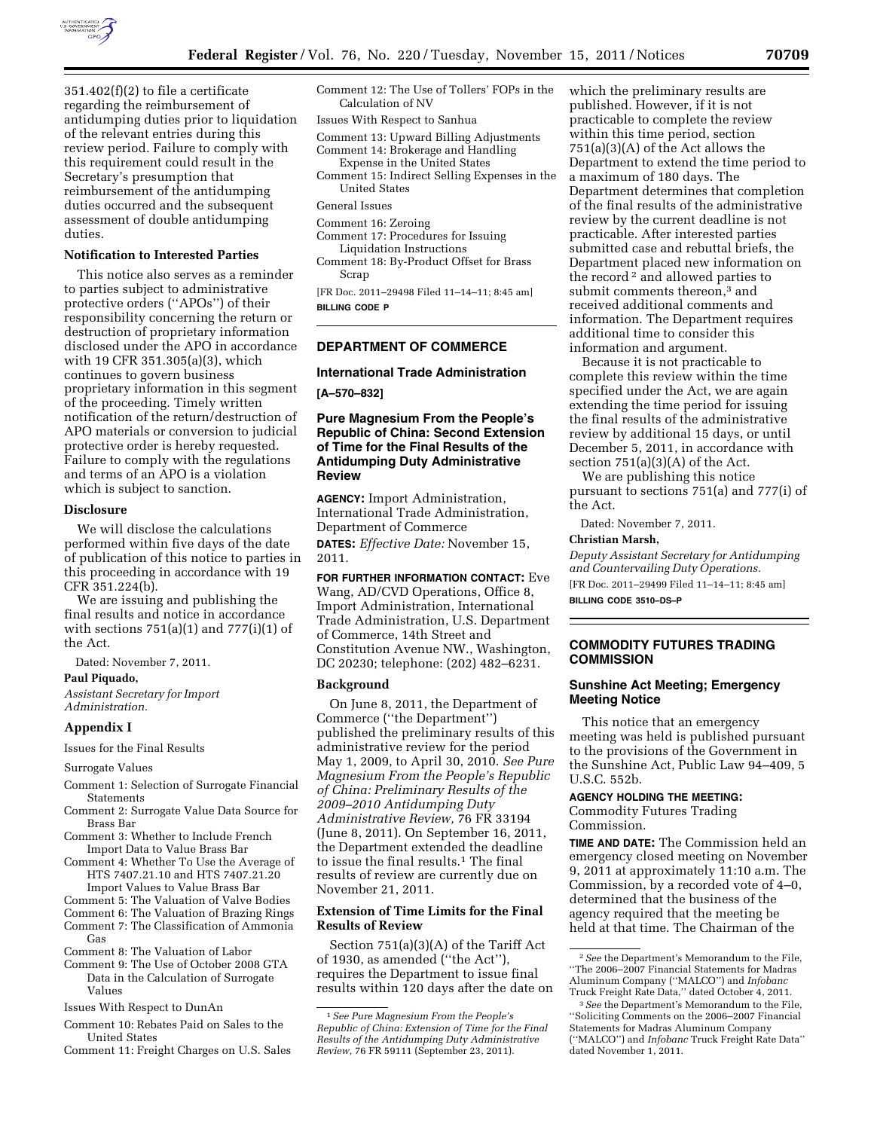

351.402(f)(2) to file a certificate regarding the reimbursement of antidumping duties prior to liquidation of the relevant entries during this review period. Failure to comply with this requirement could result in the Secretary's presumption that reimbursement of the antidumping duties occurred and the subsequent assessment of double antidumping duties.

#### **Notification to Interested Parties**

This notice also serves as a reminder to parties subject to administrative protective orders (''APOs'') of their responsibility concerning the return or destruction of proprietary information disclosed under the APO in accordance with 19 CFR 351.305(a)(3), which continues to govern business proprietary information in this segment of the proceeding. Timely written notification of the return/destruction of APO materials or conversion to judicial protective order is hereby requested. Failure to comply with the regulations and terms of an APO is a violation which is subject to sanction.

#### **Disclosure**

We will disclose the calculations performed within five days of the date of publication of this notice to parties in this proceeding in accordance with 19 CFR 351.224(b).

We are issuing and publishing the final results and notice in accordance with sections  $751(a)(1)$  and  $777(i)(1)$  of the Act.

Dated: November 7, 2011.

#### **Paul Piquado,**

*Assistant Secretary for Import Administration.* 

#### **Appendix I**

Issues for the Final Results

Surrogate Values

- Comment 1: Selection of Surrogate Financial Statements
- Comment 2: Surrogate Value Data Source for Brass Bar
- Comment 3: Whether to Include French Import Data to Value Brass Bar
- Comment 4: Whether To Use the Average of HTS 7407.21.10 and HTS 7407.21.20 Import Values to Value Brass Bar
- Comment 5: The Valuation of Valve Bodies
- Comment 6: The Valuation of Brazing Rings Comment 7: The Classification of Ammonia
- Gas
- Comment 8: The Valuation of Labor Comment 9: The Use of October 2008 GTA
- Data in the Calculation of Surrogate Values
- Issues With Respect to DunAn
- Comment 10: Rebates Paid on Sales to the United States
- Comment 11: Freight Charges on U.S. Sales
- Comment 12: The Use of Tollers' FOPs in the Calculation of NV
- Issues With Respect to Sanhua
- Comment 13: Upward Billing Adjustments Comment 14: Brokerage and Handling
- Expense in the United States Comment 15: Indirect Selling Expenses in the United States

- Comment 16: Zeroing
- Comment 17: Procedures for Issuing Liquidation Instructions
- Comment 18: By-Product Offset for Brass Scrap

[FR Doc. 2011–29498 Filed 11–14–11; 8:45 am] **BILLING CODE P** 

# **DEPARTMENT OF COMMERCE**

#### **International Trade Administration**

**[A–570–832]** 

#### **Pure Magnesium From the People's Republic of China: Second Extension of Time for the Final Results of the Antidumping Duty Administrative Review**

**AGENCY:** Import Administration, International Trade Administration, Department of Commerce **DATES:** *Effective Date:* November 15, 2011.

**FOR FURTHER INFORMATION CONTACT:** Eve Wang, AD/CVD Operations, Office 8, Import Administration, International Trade Administration, U.S. Department of Commerce, 14th Street and Constitution Avenue NW., Washington, DC 20230; telephone: (202) 482–6231.

#### **Background**

On June 8, 2011, the Department of Commerce (''the Department'') published the preliminary results of this administrative review for the period May 1, 2009, to April 30, 2010. *See Pure Magnesium From the People's Republic of China: Preliminary Results of the 2009–2010 Antidumping Duty Administrative Review,* 76 FR 33194 (June 8, 2011). On September 16, 2011, the Department extended the deadline to issue the final results.1 The final results of review are currently due on November 21, 2011.

### **Extension of Time Limits for the Final Results of Review**

Section 751(a)(3)(A) of the Tariff Act of 1930, as amended (''the Act''), requires the Department to issue final results within 120 days after the date on which the preliminary results are published. However, if it is not practicable to complete the review within this time period, section 751(a)(3)(A) of the Act allows the Department to extend the time period to a maximum of 180 days. The Department determines that completion of the final results of the administrative review by the current deadline is not practicable. After interested parties submitted case and rebuttal briefs, the Department placed new information on the record 2 and allowed parties to submit comments thereon,<sup>3</sup> and received additional comments and information. The Department requires additional time to consider this information and argument.

Because it is not practicable to complete this review within the time specified under the Act, we are again extending the time period for issuing the final results of the administrative review by additional 15 days, or until December 5, 2011, in accordance with section  $751(a)(3)(A)$  of the Act.

We are publishing this notice pursuant to sections 751(a) and 777(i) of the Act.

Dated: November 7, 2011.

# **Christian Marsh,**

*Deputy Assistant Secretary for Antidumping and Countervailing Duty Operations.*  [FR Doc. 2011–29499 Filed 11–14–11; 8:45 am]

**BILLING CODE 3510–DS–P** 

# **COMMODITY FUTURES TRADING COMMISSION**

### **Sunshine Act Meeting; Emergency Meeting Notice**

This notice that an emergency meeting was held is published pursuant to the provisions of the Government in the Sunshine Act, Public Law 94–409, 5 U.S.C. 552b.

#### **AGENCY HOLDING THE MEETING:**

Commodity Futures Trading Commission.

**TIME AND DATE:** The Commission held an emergency closed meeting on November 9, 2011 at approximately 11:10 a.m. The Commission, by a recorded vote of 4–0, determined that the business of the agency required that the meeting be held at that time. The Chairman of the

General Issues

<sup>1</sup>*See Pure Magnesium From the People's Republic of China: Extension of Time for the Final Results of the Antidumping Duty Administrative Review,* 76 FR 59111 (September 23, 2011).

<sup>2</sup>*See* the Department's Memorandum to the File, ''The 2006–2007 Financial Statements for Madras Aluminum Company (''MALCO'') and *Infobanc*  Truck Freight Rate Data,'' dated October 4, 2011.

<sup>3</sup>*See* the Department's Memorandum to the File, ''Soliciting Comments on the 2006–2007 Financial Statements for Madras Aluminum Company (''MALCO'') and *Infobanc* Truck Freight Rate Data'' dated November 1, 2011.